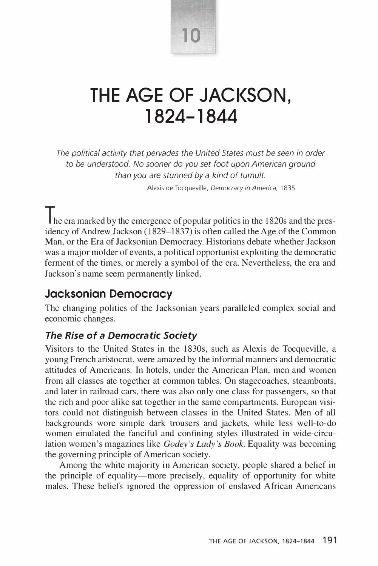

# **THE AGE OF JACKSON, 1824-1844**

*The political activity that pervades the United States must be seen in order to be understood. No sooner do you set foot upon American ground than you are stunned by a kind of tumult.*  Alexis de Tocqueville, *Democracy in America,* 1835

I he era marked by the emergence of popular politics in the 1820s and the presidency of Andrew Jackson (1829-1837) is often called the Age of the Common Man, or the Era of Jacksonian Democracy. Historians debate whether Jackson was a major molder of events, a political opportunist exploiting the democratic ferment of the times, or merely a symbol of the era. Nevertheless, the era and Jackson's name seem permanently linked.

## **Jacksonian Democracy**

The changing politics of the Jacksonian years paralleled complex social and economic changes.

## *The Rise of a Democratic Society*

Visitors to the United States in the 1830s, such as Alexis de Tocqueville, a young French aristocrat, were amazed by the informal manners and democratic attitudes of Americans. In hotels, under the American Plan, men and women from all classes ate together at common tables. On stagecoaches, steamboats, and later in railroad cars, there was also only one class for passengers, so that the rich and poor alike sat together in the same compartments. European visitors could not distinguish between classes in the United States. Men of all backgrounds wore simple dark trousers and jackets, while less well-to-do women emulated the fanciful and confining styles illustrated in wide-circulation women's magazines like *Godey's Lady's Book.* Equality was becoming the governing principle of American society.

Among the white majority in American society, people shared a belief in the principle of equality—more precisely, equality of opportunity for white males. These beliefs ignored the oppression of enslaved African Americans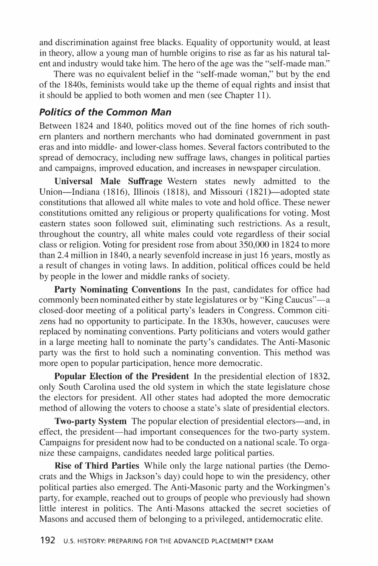and discrimination against free blacks. Equality of opportunity would, at least in theory, allow a young man of humble origins to rise as far as his natural talent and industry would take him. The hero of the age was the "self-made man."

There was no equivalent belief in the "self-made woman," but by the end of the 1840s, feminists would take up the theme of equal rights and insist that it should be applied to both women and men (see Chapter 11).

#### *Politics of the Common Man*

Between 1824 and 1840, politics moved out of the fine homes of rich southern planters and northern merchants who had dominated government in past eras and into middle- and lower-class homes. Several factors contributed to the spread of democracy, including new suffrage laws, changes in political parties and campaigns, improved education, and increases in newspaper circulation.

**Universal Male Suffrage** Western states newly admitted to the Union-Indiana (1816), Illinois (1818), and Missouri (1821)-adopted state constitutions that allowed all white males to vote and hold office. These newer constitutions omitted any religious or property qualifications for voting. Most eastern states soon followed suit, eliminating such restrictions. As a result, throughout the country, all white males could vote regardless of their social class or religion. Voting for president rose from about 350,000 in 1824 to more than 2.4 million in 1840, a nearly sevenfold increase in just 16 years, mostly as a result of changes in voting laws. In addition, political offices could be held by people in the lower and middle ranks of society.

**Party Nominating Conventions** In the past, candidates for office had commonly been nominated either by state legislatures or by "King Caucus"—a closed-door meeting of a political party's leaders in Congress. Common citizens had no opportunity to participate. In the 1830s, however, caucuses were replaced by nominating conventions. Party politicians and voters would gather in a large meeting hall to nominate the party's candidates. The Anti-Masonic party was the first to hold such a nominating convention. This method was more open to popular participation, hence more democratic.

**Popular Election of the President** In the presidential election of 1832, only South Carolina used the old system in which the state legislature chose the electors for president. All other states had adopted the more democratic method of allowing the voters to choose a state's slate of presidential electors.

**Two-party System** The popular election of presidential electors—and, in effect, the president—had important consequences for the two-party system. Campaigns for president now had to be conducted on a national scale. To organize these campaigns, candidates needed large political parties.

**Rise of Third Parties** While only the large national parties (the Democrats and the Whigs in Jackson's day) could hope to win the presidency, other political parties also emerged. The Anti-Masonic party and the Workingmen's party, for example, reached out to groups of people who previously had shown little interest in politics. The Anti-Masons attacked the secret societies of Masons and accused them of belonging to a privileged, antidemocratic elite.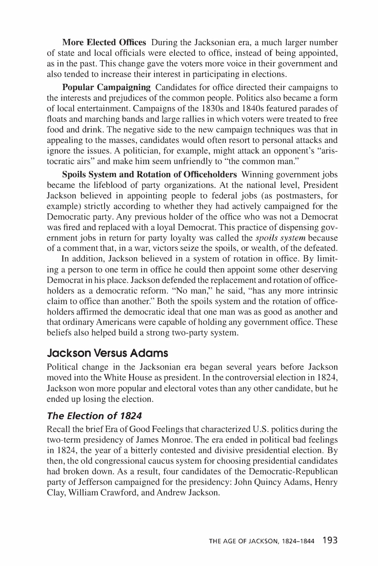**More Elected Offices** During the Jacksonian era, a much larger number of state and local officials were elected to office, instead of being appointed, as in the past. This change gave the voters more voice in their government and also tended to increase their interest in participating in elections.

**Popular Campaigning** Candidates for office directed their campaigns to the interests and prejudices of the common people. Politics also became a form of local entertainment. Campaigns of the 1830s and 1840s featured parades of floats and marching bands and large rallies in which voters were treated to free food and drink. The negative side to the new campaign techniques was that in appealing to the masses, candidates would often resort to personal attacks and ignore the issues. A politician, for example, might attack an opponent's "aristocratic airs" and make him seem unfriendly to "the common man."

**Spoils System and Rotation of Officeholders** Winning government jobs became the lifeblood of party organizations. At the national level, President Jackson believed in appointing people to federal jobs (as postmasters, for example) strictly according to whether they had actively campaigned for the Democratic party. Any previous holder of the office who was not a Democrat was fired and replaced with a loyal Democrat. This practice of dispensing government jobs in return for party loyalty was called the *spoils system* because of a comment that, in a war, victors seize the spoils, or wealth, of the defeated.

In addition, Jackson believed in a system of rotation in office. By limiting a person to one term in office he could then appoint some other deserving Democrat in his place. Jackson defended the replacement and rotation of officeholders as a democratic reform. "No man," he said, "has any more intrinsic claim to office than another." Both the spoils system and the rotation of officeholders affirmed the democratic ideal that one man was as good as another and that ordinary Americans were capable of holding any government office. These beliefs also helped build a strong two-party system.

## **Jackson Versus Adams**

Political change in the Jacksonian era began several years before Jackson moved into the White House as president. In the controversial election in 1824, Jackson won more popular and electoral votes than any other candidate, but he ended up losing the election.

## *The Election of 1824*

Recall the brief Era of Good Feelings that characterized U.S. politics during the two-term presidency of James Monroe. The era ended in political bad feelings in 1824, the year of a bitterly contested and divisive presidential election. By then, the old congressional caucus system for choosing presidential candidates had broken down. As a result, four candidates of the Democratic-Republican party of Jefferson campaigned for the presidency: John Quincy Adams, Henry Clay, William Crawford, and Andrew Jackson.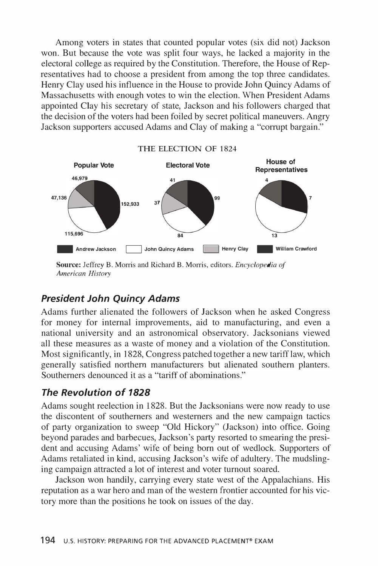Among voters in states that counted popular votes (six did not) Jackson won. But because the vote was split four ways, he lacked a majority in the electoral college as required by the Constitution. Therefore, the House of Representatives had to choose a president from among the top three candidates. Henry Clay used his influence in the House to provide John Quincy Adams of Massachusetts with enough votes to win the election. When President Adams appointed Clay his secretary of state, Jackson and his followers charged that the decision of the voters had been foiled by secret political maneuvers. Angry Jackson supporters accused Adams and Clay of making a "corrupt bargain."



**Source:** Jeffrey B. Morris and Richard B. Morris, editors. *Encyclopedia of American History* 

## *President John Quincy Adams*

Adams further alienated the followers of Jackson when he asked Congress for money for internal improvements, aid to manufacturing, and even a national university and an astronomical observatory. Jacksonians viewed all these measures as a waste of money and a violation of the Constitution. Most significantly, in 1828, Congress patched together a new tariff law, which generally satisfied northern manufacturers but alienated southern planters. Southerners denounced it as a "tariff of abominations."

## *The Revolution of 1828*

Adams sought reelection in 1828. But the Jacksonians were now ready to use the discontent of southerners and westerners and the new campaign tactics of party organization to sweep "Old Hickory" (Jackson) into office. Going beyond parades and barbecues, Jackson's party resorted to smearing the president and accusing Adams' wife of being born out of wedlock. Supporters of Adams retaliated in kind, accusing Jackson's wife of adultery. The mudslinging campaign attracted a lot of interest and voter turnout soared.

Jackson won handily, carrying every state west of the Appalachians. His reputation as a war hero and man of the western frontier accounted for his victory more than the positions he took on issues of the day.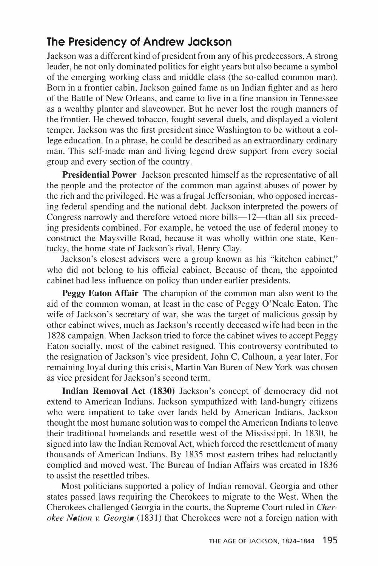## **The Presidency of Andrew Jackson**

Jackson was a different kind of president from any of his predecessors. A strong leader, he not only dominated politics for eight years but also became a symbol of the emerging working class and middle class (the so-called common man). Born in a frontier cabin, Jackson gained fame as an Indian fighter and as hero of the Battle of New Orleans, and came to live in a fine mansion in Tennessee as a wealthy planter and slaveowner. But he never lost the rough manners of the frontier. He chewed tobacco, fought several duels, and displayed a violent temper. Jackson was the first president since Washington to be without a college education. In a phrase, he could be described as an extraordinary ordinary man. This self-made man and living legend drew support from every social group and every section of the country.

**Presidential Power** Jackson presented himself as the representative of all the people and the protector of the common man against abuses of power by the rich and the privileged. He was a frugal Jeffersonian, who opposed increasing federal spending and the national debt. Jackson interpreted the powers of Congress narrowly and therefore vetoed more bills—12—than all six preceding presidents combined. For example, he vetoed the use of federal money to construct the Maysville Road, because it was wholly within one state, Kentucky, the home state of Jackson's rival, Henry Clay.

Jackson's closest advisers were a group known as his "kitchen cabinet," who did not belong to his official cabinet. Because of them, the appointed cabinet had less influence on policy than under earlier presidents.

**Peggy Eaton Affair** The champion of the common man also went to the aid of the common woman, at least in the case of Peggy O'Neale Eaton. The wife of Jackson's secretary of war, she was the target of malicious gossip by other cabinet wives, much as Jackson's recently deceased wife had been in the 1828 campaign. When Jackson tried to force the cabinet wives to accept Peggy Eaton socially, most of the cabinet resigned. This controversy contributed to the resignation of Jackson's vice president, John C. Calhoun, a year later. For remaining loyal during this crisis, Martin Van Buren of New York was chosen as vice president for Jackson's second term.

**Indian Removal Act (1830)** Jackson's concept of democracy did not extend to American Indians. Jackson sympathized with land-hungry citizens who were impatient to take over lands held by American Indians. Jackson thought the most humane solution was to compel the American Indians to leave their traditional homelands and resettle west of the Mississippi. In 1830, he signed into law the Indian Removal Act, which forced the resettlement of many thousands of American Indians. By 1835 most eastern tribes had reluctantly complied and moved west. The Bureau of Indian Affairs was created in 1836 to assist the resettled tribes.

Most politicians supported a policy of Indian removal. Georgia and other states passed laws requiring the Cherokees to migrate to the West. When the Cherokees challenged Georgia in the courts, the Supreme Court ruled in *Cherokee Nation v. Georgia* (1831) that Cherokees were not a foreign nation with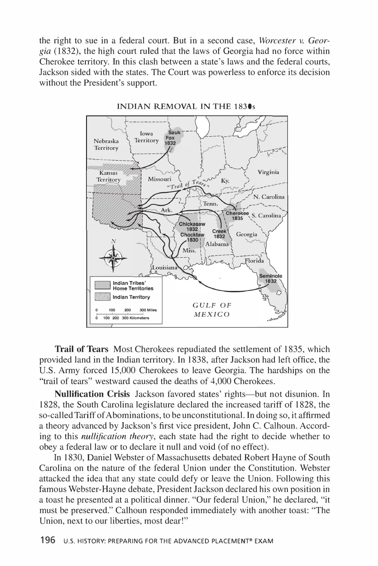the right to sue in a federal court. But in a second case, *Worcester v. Georgia* (1832), the high court ruled that the laws of Georgia had no force within Cherokee territory. In this clash between a state's laws and the federal courts, Jackson sided with the states. The Court was powerless to enforce its decision without the President's support.



INDIAN REMOVAL IN THE 1830s

**Trail of Tears** Most Cherokees repudiated the settlement of 1835, which provided land in the Indian territory. In 1838, after Jackson had left office, the U.S. Army forced 15,000 Cherokees to leave Georgia. The hardships on the "trail of tears" westward caused the deaths of 4,000 Cherokees.

**Nullification Crisis** Jackson favored states' rights—but not disunion. In 1828, the South Carolina legislature declared the increased tariff of 1828, the so-called Tariff of Abominations, to be unconstitutional. In doing so, it affirmed a theory advanced by Jackson's first vice president, John C. Calhoun. According to this *nullification theory,* each state had the right to decide whether to obey a federal law or to declare it null and void (of no effect).

In 1830, Daniel Webster of Massachusetts debated Robert Hayne of South Carolina on the nature of the federal Union under the Constitution. Webster attacked the idea that any state could defy or leave the Union. Following this famous Webster-Hayne debate, President Jackson declared his own position in a toast he presented at a political dinner. "Our federal Union," he declared, "it must be preserved." Calhoun responded immediately with another toast: "The Union, next to our liberties, most dear!"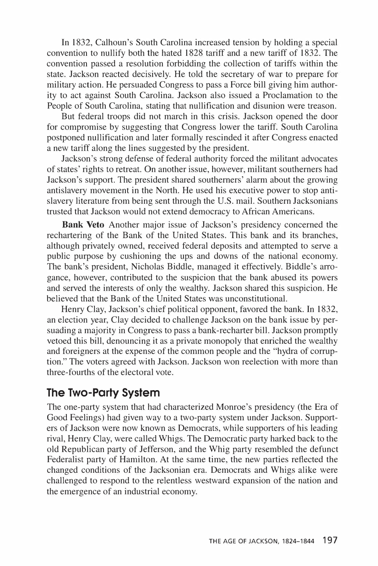In 1832, Calhoun's South Carolina increased tension by holding a special convention to nullify both the hated 1828 tariff and a new tariff of 1832. The convention passed a resolution forbidding the collection of tariffs within the state. Jackson reacted decisively. He told the secretary of war to prepare for military action. He persuaded Congress to pass a Force bill giving him authority to act against South Carolina. Jackson also issued a Proclamation to the People of South Carolina, stating that nullification and disunion were treason.

But federal troops did not march in this crisis. Jackson opened the door for compromise by suggesting that Congress lower the tariff. South Carolina postponed nullification and later formally rescinded it after Congress enacted a new tariff along the lines suggested by the president.

Jackson's strong defense of federal authority forced the militant advocates of states' rights to retreat. On another issue, however, militant southerners had Jackson's support. The president shared southerners' alarm about the growing antislavery movement in the North. He used his executive power to stop antislavery literature from being sent through the U.S. mail. Southern Jacksonians trusted that Jackson would not extend democracy to African Americans.

**Bank Veto** Another major issue of Jackson's presidency concerned the rechartering of the Bank of the United States. This bank and its branches, although privately owned, received federal deposits and attempted to serve a public purpose by cushioning the ups and downs of the national economy. The bank's president, Nicholas Biddle, managed it effectively. Biddle's arrogance, however, contributed to the suspicion that the bank abused its powers and served the interests of only the wealthy. Jackson shared this suspicion. He believed that the Bank of the United States was unconstitutional.

Henry Clay, Jackson's chief political opponent, favored the bank. In 1832, an election year, Clay decided to challenge Jackson on the bank issue by persuading a majority in Congress to pass a bank-recharter bill. Jackson promptly vetoed this bill, denouncing it as a private monopoly that enriched the wealthy and foreigners at the expense of the common people and the "hydra of corruption." The voters agreed with Jackson. Jackson won reelection with more than three-fourths of the electoral vote.

## **The Two-Party System**

The one-party system that had characterized Monroe's presidency (the Era of Good Feelings) had given way to a two-party system under Jackson. Supporters of Jackson were now known as Democrats, while supporters of his leading rival, Henry Clay, were called Whigs. The Democratic party harked back to the old Republican party of Jefferson, and the Whig party resembled the defunct Federalist party of Hamilton. At the same time, the new parties reflected the changed conditions of the Jacksonian era. Democrats and Whigs alike were challenged to respond to the relentless westward expansion of the nation and the emergence of an industrial economy.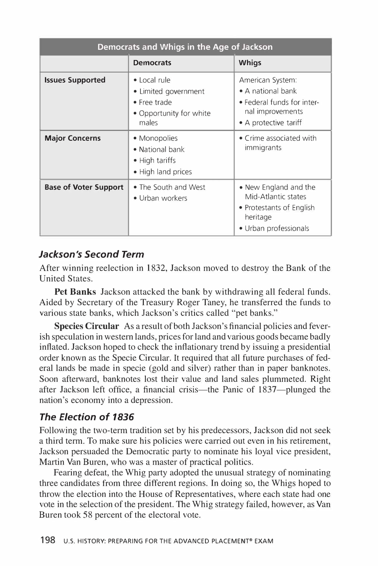| Democrats and Whigs in the Age of Jackson |                                                                                                  |                                                                                                                  |
|-------------------------------------------|--------------------------------------------------------------------------------------------------|------------------------------------------------------------------------------------------------------------------|
|                                           | <b>Democrats</b>                                                                                 | <b>Whigs</b>                                                                                                     |
| <b>Issues Supported</b>                   | • Local rule<br>• Limited government<br>$\bullet$ Free trade<br>• Opportunity for white<br>males | American System:<br>• A national bank<br>• Federal funds for inter-<br>nal improvements<br>• A protective tariff |
| <b>Major Concerns</b>                     | • Monopolies<br>• National bank<br>• High tariffs<br>• High land prices                          | • Crime associated with<br>immigrants                                                                            |
| <b>Base of Voter Support</b>              | • The South and West<br>• Urban workers                                                          | • New England and the<br>Mid-Atlantic states<br>• Protestants of English<br>heritage<br>• Urban professionals    |

## *Jackson's Second Term*

After winning reelection in 1832, Jackson moved to destroy the Bank of the United States.

**Pet Banks** Jackson attacked the bank by withdrawing all federal funds. Aided by Secretary of the Treasury Roger Taney, he transferred the funds to various state banks, which Jackson's critics called "pet banks."

**Species Circular** As a result of both Jackson's financial policies and feverish speculation in western lands, prices for land and various goods became badly inflated. Jackson hoped to check the inflationary trend by issuing a presidential order known as the Specie Circular. It required that all future purchases of federal lands be made in specie (gold and silver) rather than in paper banknotes. Soon afterward, banknotes lost their value and land sales plummeted. Right after Jackson left office, a financial crisis—the Panic of 1837—plunged the nation's economy into a depression.

## *The Election of 1836*

Following the two-term tradition set by his predecessors, Jackson did not seek a third term. To make sure his policies were carried out even in his retirement, Jackson persuaded the Democratic party to nominate his loyal vice president, Martin Van Buren, who was a master of practical politics.

Fearing defeat, the Whig party adopted the unusual strategy of nominating three candidates from three different regions. In doing so, the Whigs hoped to throw the election into the House of Representatives, where each state had one vote in the selection of the president. The Whig strategy failed, however, as Van Buren took 58 percent of the electoral vote.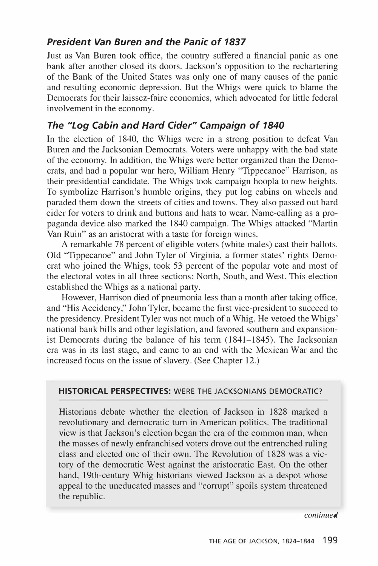## *President Van Buren and the Panic of 1837*

Just as Van Buren took office, the country suffered a financial panic as one bank after another closed its doors. Jackson's opposition to the rechartering of the Bank of the United States was only one of many causes of the panic and resulting economic depression. But the Whigs were quick to blame the Democrats for their laissez-faire economics, which advocated for little federal involvement in the economy.

## *The "Log Cabin and Hard Cider" Campaign of 1840*

In the election of 1840, the Whigs were in a strong position to defeat Van Buren and the Jacksonian Democrats. Voters were unhappy with the bad state of the economy. In addition, the Whigs were better organized than the Democrats, and had a popular war hero, William Henry "Tippecanoe" Harrison, as their presidential candidate. The Whigs took campaign hoopla to new heights. To symbolize Harrison's humble origins, they put log cabins on wheels and paraded them down the streets of cities and towns. They also passed out hard cider for voters to drink and buttons and hats to wear. Name-calling as a propaganda device also marked the 1840 campaign. The Whigs attacked "Martin Van Ruin" as an aristocrat with a taste for foreign wines.

A remarkable 78 percent of eligible voters (white males) cast their ballots. Old "Tippecanoe" and John Tyler of Virginia, a former states' rights Democrat who joined the Whigs, took 53 percent of the popular vote and most of the electoral votes in all three sections: North, South, and West. This election established the Whigs as a national party.

However, Harrison died of pneumonia less than a month after taking office, and "His Accidency," John Tyler, became the first vice-president to succeed to the presidency. President Tyler was not much of a Whig. He vetoed the Whigs' national bank bills and other legislation, and favored southern and expansionist Democrats during the balance of his term (1841-1845). The Jacksonian era was in its last stage, and came to an end with the Mexican War and the increased focus on the issue of slavery. (See Chapter 12.)

#### **HISTORICAL PERSPECTIVES:** WERE THE JACKSONIANS DEMOCRATIC?

Historians debate whether the election of Jackson in 1828 marked a revolutionary and democratic turn in American politics. The traditional view is that Jackson's election began the era of the common man, when the masses of newly enfranchised voters drove out the entrenched ruling class and elected one of their own. The Revolution of 1828 was a victory of the democratic West against the aristocratic East. On the other hand, 19th-century Whig historians viewed Jackson as a despot whose appeal to the uneducated masses and "corrupt" spoils system threatened the republic.

*continued*